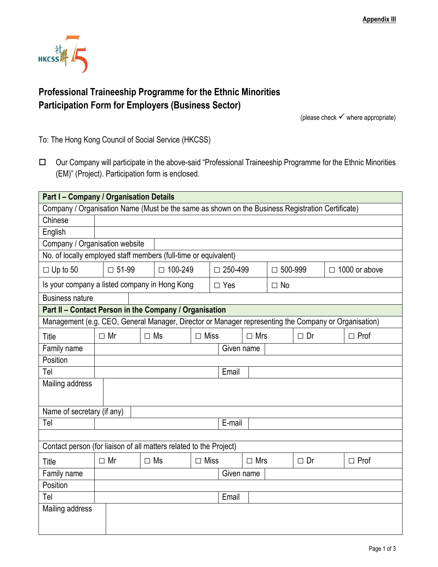

## **Professional Traineeship Programme for the Ethnic Minorities Participation Form for Employers (Business Sector)**

(please check  $\checkmark$  where appropriate)

To: The Hong Kong Council of Social Service (HKCSS)

 Our Company will participate in the above-said "Professional Traineeship Programme for the Ethnic Minorities (EM)" (Project). Participation form is enclosed.

| <b>Part I - Company / Organisation Details</b>                                                       |              |           |                |             |                |            |                |           |                      |             |
|------------------------------------------------------------------------------------------------------|--------------|-----------|----------------|-------------|----------------|------------|----------------|-----------|----------------------|-------------|
| Company / Organisation Name (Must be the same as shown on the Business Registration Certificate)     |              |           |                |             |                |            |                |           |                      |             |
| Chinese                                                                                              |              |           |                |             |                |            |                |           |                      |             |
| English                                                                                              |              |           |                |             |                |            |                |           |                      |             |
| Company / Organisation website                                                                       |              |           |                |             |                |            |                |           |                      |             |
| No. of locally employed staff members (full-time or equivalent)                                      |              |           |                |             |                |            |                |           |                      |             |
| $\Box$ Up to 50                                                                                      | $\Box$ 51-99 |           | $\Box$ 100-249 |             | $\Box$ 250-499 |            | $\Box$ 500-999 |           | $\Box$ 1000 or above |             |
| Is your company a listed company in Hong Kong                                                        |              |           |                | $\Box$ Yes  |                | $\Box$ No  |                |           |                      |             |
| <b>Business nature</b>                                                                               |              |           |                |             |                |            |                |           |                      |             |
| Part II - Contact Person in the Company / Organisation                                               |              |           |                |             |                |            |                |           |                      |             |
| Management (e.g. CEO, General Manager, Director or Manager representing the Company or Organisation) |              |           |                |             |                |            |                |           |                      |             |
| Title                                                                                                | $\Box$ Mr    | $\Box$ Ms |                | $\Box$ Miss |                | $\Box$ Mrs |                | $\Box$ Dr |                      | $\Box$ Prof |
| Family name                                                                                          | Given name   |           |                |             |                |            |                |           |                      |             |
| Position                                                                                             |              |           |                |             |                |            |                |           |                      |             |
| Tel                                                                                                  |              |           |                |             | Email          |            |                |           |                      |             |
| Mailing address                                                                                      |              |           |                |             |                |            |                |           |                      |             |
| Name of secretary (if any)                                                                           |              |           |                |             |                |            |                |           |                      |             |
| Tel                                                                                                  |              |           |                |             | E-mail         |            |                |           |                      |             |
|                                                                                                      |              |           |                |             |                |            |                |           |                      |             |
| Contact person (for liaison of all matters related to the Project)                                   |              |           |                |             |                |            |                |           |                      |             |
| Title                                                                                                | $\Box$ Mr    | $\Box$ Ms |                | $\Box$ Miss |                | $\Box$ Mrs |                | $\Box$ Dr |                      | $\Box$ Prof |
| Family name                                                                                          |              |           |                |             |                | Given name |                |           |                      |             |
| Position                                                                                             |              |           |                |             |                |            |                |           |                      |             |
| Tel                                                                                                  |              |           |                |             | Email          |            |                |           |                      |             |
| Mailing address                                                                                      |              |           |                |             |                |            |                |           |                      |             |
|                                                                                                      |              |           |                |             |                |            |                |           |                      |             |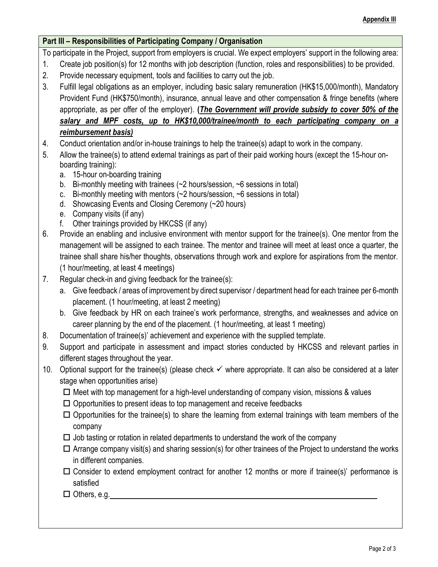## **Part III – Responsibilities of Participating Company / Organisation**

To participate in the Project, support from employers is crucial. We expect employers' support in the following area:

- 1. Create job position(s) for 12 months with job description (function, roles and responsibilities) to be provided.
- 2. Provide necessary equipment, tools and facilities to carry out the job.
- 3. Fulfill legal obligations as an employer, including basic salary remuneration (HK\$15,000/month), Mandatory Provident Fund (HK\$750/month), insurance, annual leave and other compensation & fringe benefits (where appropriate, as per offer of the employer). **(***The Government will provide subsidy to cover 50% of the salary and MPF costs, up to HK\$10,000/trainee/month to each participating company on a reimbursement basis)*
- 4. Conduct orientation and/or in-house trainings to help the trainee(s) adapt to work in the company.
- 5. Allow the trainee(s) to attend external trainings as part of their paid working hours (except the 15-hour onboarding training):
	- a. 15-hour on-boarding training
	- b. Bi-monthly meeting with trainees (~2 hours/session, ~6 sessions in total)
	- c. Bi-monthly meeting with mentors  $\left(\sim 2 \text{ hours/session}, \sim 6 \text{ sessions in total}\right)$
	- d. Showcasing Events and Closing Ceremony (~20 hours)
	- e. Company visits (if any)
	- f. Other trainings provided by HKCSS (if any)
- 6. Provide an enabling and inclusive environment with mentor support for the trainee(s). One mentor from the management will be assigned to each trainee. The mentor and trainee will meet at least once a quarter, the trainee shall share his/her thoughts, observations through work and explore for aspirations from the mentor. (1 hour/meeting, at least 4 meetings)
- 7. Regular check-in and giving feedback for the trainee(s):
	- a. Give feedback / areas of improvement by direct supervisor / department head for each trainee per 6-month placement. (1 hour/meeting, at least 2 meeting)
	- b. Give feedback by HR on each trainee's work performance, strengths, and weaknesses and advice on career planning by the end of the placement. (1 hour/meeting, at least 1 meeting)
- 8. Documentation of trainee(s)' achievement and experience with the supplied template.
- 9. Support and participate in assessment and impact stories conducted by HKCSS and relevant parties in different stages throughout the year.
- 10. Optional support for the trainee(s) (please check ✓ where appropriate. It can also be considered at a later stage when opportunities arise)
	- $\Box$  Meet with top management for a high-level understanding of company vision, missions & values
	- $\Box$  Opportunities to present ideas to top management and receive feedbacks
	- $\Box$  Opportunities for the trainee(s) to share the learning from external trainings with team members of the company
	- $\Box$  Job tasting or rotation in related departments to understand the work of the company
	- $\Box$  Arrange company visit(s) and sharing session(s) for other trainees of the Project to understand the works in different companies.
	- $\Box$  Consider to extend employment contract for another 12 months or more if trainee(s)' performance is satisfied
	- □ Others, e.g.